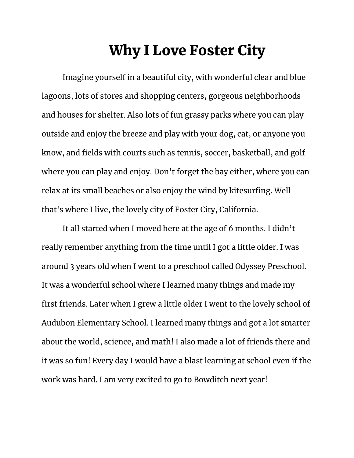## Why I Love Foster City

Imagine yourself in a beautiful city, with wonderful clear and blue lagoons, lots of stores and shopping centers, gorgeous neighborhoods and houses for shelter. Also lots of fun grassy parks where you can play outside and enjoy the breeze and play with your dog, cat, or anyone you know, and fields with courts such as tennis, soccer, basketball, and golf where you can play and enjoy. Don't forget the bay either, where you can relax at its small beaches or also enjoy the wind by kitesurfing. Well that's where I live, the lovely city of Foster City, California.

It all started when I moved here at the age of 6 months. I didn't really remember anything from the time until I got a little older. I was around 3 years old when I went to a preschool called Odyssey Preschool. It was a wonderful school where I learned many things and made my first friends. Later when I grew a little older I went to the lovely school of Audubon Elementary School. I learned many things and got a lot smarter about the world, science, and math! I also made a lot of friends there and it was so fun! Every day I would have a blast learning at school even if the work was hard. I am very excited to go to Bowditch next year!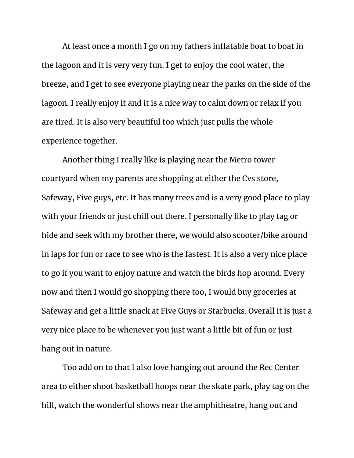At least once a month I go on my fathers inflatable boat to boat in the lagoon and it is very very fun. I get to enjoy the cool water, the breeze, and I get to see everyone playing near the parks on the side of the lagoon. I really enjoy it and it is a nice way to calm down or relax if you are tired. It is also very beautiful too which just pulls the whole experience together.

Another thing I really like is playing near the Metro tower courtyard when my parents are shopping at either the Cvs store, Safeway, Five guys, etc. It has many trees and is a very good place to play with your friends or just chill out there. I personally like to play tag or hide and seek with my brother there, we would also scooter/bike around in laps for fun or race to see who is the fastest. It is also a very nice place to go if you want to enjoy nature and watch the birds hop around. Every now and then I would go shopping there too, I would buy groceries at Safeway and get a little snack at Five Guys or Starbucks. Overall it is just a very nice place to be whenever you just want a little bit of fun or just hang out in nature.

Too add on to that I also love hanging out around the Rec Center area to either shoot basketball hoops near the skate park, play tag on the hill, watch the wonderful shows near the amphitheatre, hang out and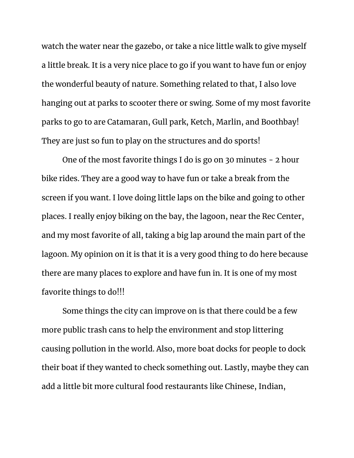watch the water near the gazebo, or take a nice little walk to give myself a little break. It is a very nice place to go if you want to have fun or enjoy the wonderful beauty of nature. Something related to that, I also love hanging out at parks to scooter there or swing. Some of my most favorite parks to go to are Catamaran, Gull park, Ketch, Marlin, and Boothbay! They are just so fun to play on the structures and do sports!

One of the most favorite things I do is go on 30 minutes - 2 hour bike rides. They are a good way to have fun or take a break from the screen if you want. I love doing little laps on the bike and going to other places. I really enjoy biking on the bay, the lagoon, near the Rec Center, and my most favorite of all, taking a big lap around the main part of the lagoon. My opinion on it is that it is a very good thing to do here because there are many places to explore and have fun in. It is one of my most favorite things to do!!!

Some things the city can improve on is that there could be a few more public trash cans to help the environment and stop littering causing pollution in the world. Also, more boat docks for people to dock their boat if they wanted to check something out. Lastly, maybe they can add a little bit more cultural food restaurants like Chinese, Indian,